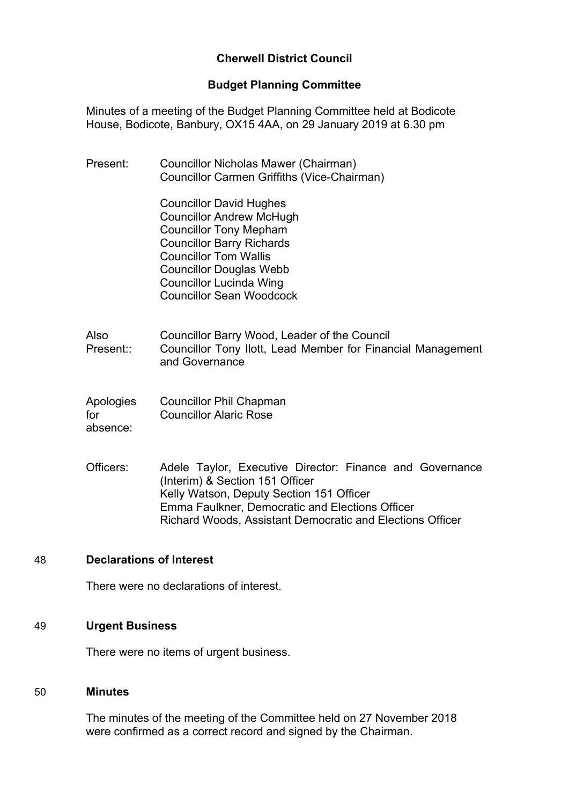# **Cherwell District Council**

### **Budget Planning Committee**

Minutes of a meeting of the Budget Planning Committee held at Bodicote House, Bodicote, Banbury, OX15 4AA, on 29 January 2019 at 6.30 pm

| Present:                     | Councillor Nicholas Mawer (Chairman)<br>Councillor Carmen Griffiths (Vice-Chairman)                                                                                                                                                                                           |
|------------------------------|-------------------------------------------------------------------------------------------------------------------------------------------------------------------------------------------------------------------------------------------------------------------------------|
|                              | <b>Councillor David Hughes</b><br><b>Councillor Andrew McHugh</b><br><b>Councillor Tony Mepham</b><br><b>Councillor Barry Richards</b><br><b>Councillor Tom Wallis</b><br><b>Councillor Douglas Webb</b><br><b>Councillor Lucinda Wing</b><br><b>Councillor Sean Woodcock</b> |
| Also<br>Present::            | Councillor Barry Wood, Leader of the Council<br>Councillor Tony Ilott, Lead Member for Financial Management<br>and Governance                                                                                                                                                 |
| Apologies<br>for<br>absence: | <b>Councillor Phil Chapman</b><br><b>Councillor Alaric Rose</b>                                                                                                                                                                                                               |
| Officers:                    | Adele Taylor, Executive Director: Finance and Governance<br>(Interim) & Section 151 Officer<br>Kelly Watson, Deputy Section 151 Officer<br><b>Emma Faulkner, Democratic and Elections Officer</b>                                                                             |

Richard Woods, Assistant Democratic and Elections Officer

## 48 **Declarations of Interest**

There were no declarations of interest.

### 49 **Urgent Business**

There were no items of urgent business.

### 50 **Minutes**

The minutes of the meeting of the Committee held on 27 November 2018 were confirmed as a correct record and signed by the Chairman.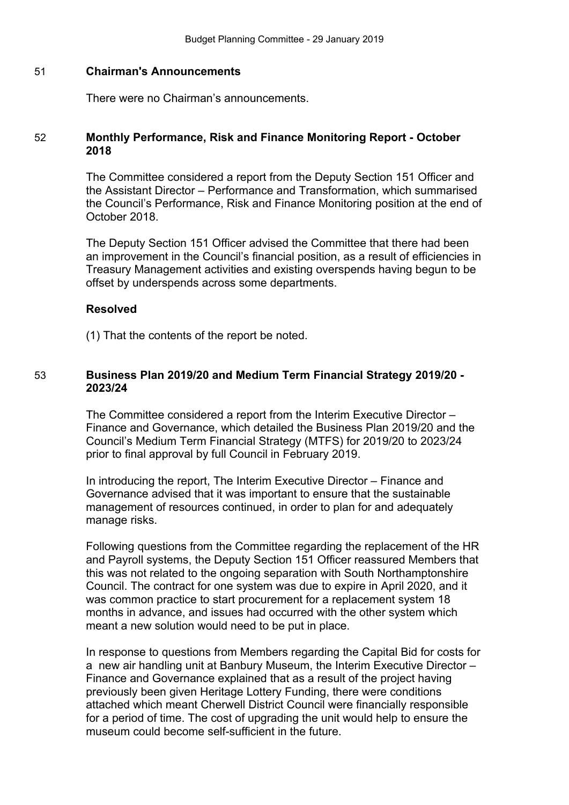### 51 **Chairman's Announcements**

There were no Chairman's announcements.

### 52 **Monthly Performance, Risk and Finance Monitoring Report - October 2018**

The Committee considered a report from the Deputy Section 151 Officer and the Assistant Director – Performance and Transformation, which summarised the Council's Performance, Risk and Finance Monitoring position at the end of October 2018.

The Deputy Section 151 Officer advised the Committee that there had been an improvement in the Council's financial position, as a result of efficiencies in Treasury Management activities and existing overspends having begun to be offset by underspends across some departments.

#### **Resolved**

(1) That the contents of the report be noted.

#### 53 **Business Plan 2019/20 and Medium Term Financial Strategy 2019/20 - 2023/24**

The Committee considered a report from the Interim Executive Director – Finance and Governance, which detailed the Business Plan 2019/20 and the Council's Medium Term Financial Strategy (MTFS) for 2019/20 to 2023/24 prior to final approval by full Council in February 2019.

In introducing the report, The Interim Executive Director – Finance and Governance advised that it was important to ensure that the sustainable management of resources continued, in order to plan for and adequately manage risks.

Following questions from the Committee regarding the replacement of the HR and Payroll systems, the Deputy Section 151 Officer reassured Members that this was not related to the ongoing separation with South Northamptonshire Council. The contract for one system was due to expire in April 2020, and it was common practice to start procurement for a replacement system 18 months in advance, and issues had occurred with the other system which meant a new solution would need to be put in place.

In response to questions from Members regarding the Capital Bid for costs for a new air handling unit at Banbury Museum, the Interim Executive Director – Finance and Governance explained that as a result of the project having previously been given Heritage Lottery Funding, there were conditions attached which meant Cherwell District Council were financially responsible for a period of time. The cost of upgrading the unit would help to ensure the museum could become self-sufficient in the future.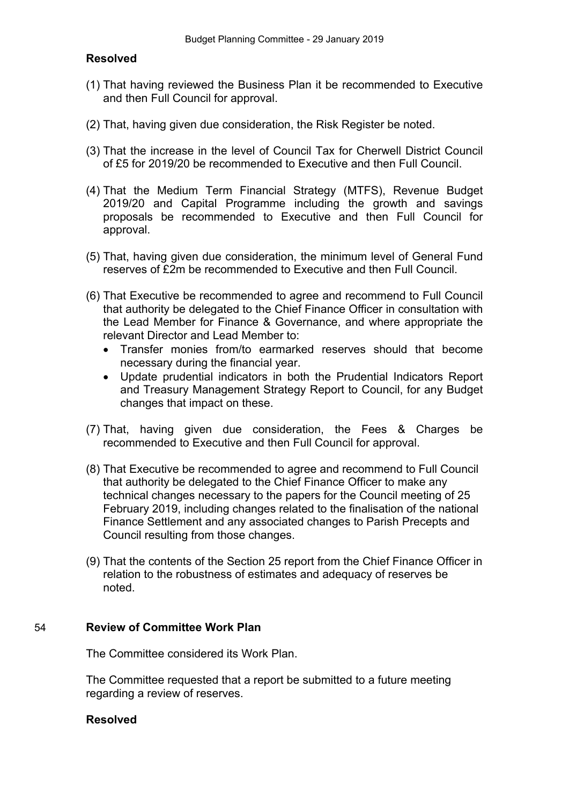## **Resolved**

- (1) That having reviewed the Business Plan it be recommended to Executive and then Full Council for approval.
- (2) That, having given due consideration, the Risk Register be noted.
- (3) That the increase in the level of Council Tax for Cherwell District Council of £5 for 2019/20 be recommended to Executive and then Full Council.
- (4) That the Medium Term Financial Strategy (MTFS), Revenue Budget 2019/20 and Capital Programme including the growth and savings proposals be recommended to Executive and then Full Council for approval.
- (5) That, having given due consideration, the minimum level of General Fund reserves of £2m be recommended to Executive and then Full Council.
- (6) That Executive be recommended to agree and recommend to Full Council that authority be delegated to the Chief Finance Officer in consultation with the Lead Member for Finance & Governance, and where appropriate the relevant Director and Lead Member to:
	- Transfer monies from/to earmarked reserves should that become necessary during the financial year.
	- Update prudential indicators in both the Prudential Indicators Report and Treasury Management Strategy Report to Council, for any Budget changes that impact on these.
- (7) That, having given due consideration, the Fees & Charges be recommended to Executive and then Full Council for approval.
- (8) That Executive be recommended to agree and recommend to Full Council that authority be delegated to the Chief Finance Officer to make any technical changes necessary to the papers for the Council meeting of 25 February 2019, including changes related to the finalisation of the national Finance Settlement and any associated changes to Parish Precepts and Council resulting from those changes.
- (9) That the contents of the Section 25 report from the Chief Finance Officer in relation to the robustness of estimates and adequacy of reserves be noted.

#### 54 **Review of Committee Work Plan**

The Committee considered its Work Plan.

The Committee requested that a report be submitted to a future meeting regarding a review of reserves.

#### **Resolved**